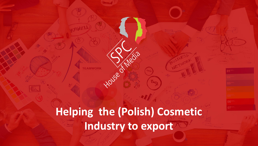**Helping the (Polish) Cosmetic Industry to export**

House

**TEAMWORK**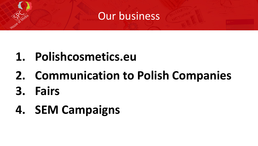#### Our business

# **1. Polishcosmetics.eu**

- **2. Communication to Polish Companies**
- **3. Fairs**
- **4. SEM Campaigns**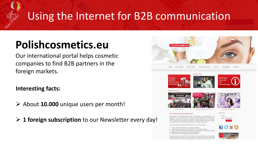# **Polishcosmetics.eu**

Our international portal helps cosmetic companies to find B2B partners in the foreign markets.

**Interesting facts:**

- ➢ About **10.000** unique users per month!
- ➢ **1 foreign subscription** to our Newsletter every day!



Wykonawca programu, firma SPC House of Media, w latach 2012-2015 organizuje szeres działań promocyjnych. Należą do nich między innymi: organizacja wyjazdów dla polskicl przedsiebiorców na najważniejsze światowe targi kosmetyczne, realizacja szkoleń i mis

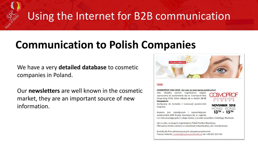### **Communication to Polish Companies**

We have a very **detailed database** to cosmetic companies in Poland.

Our **newsletters** are well known in the cosmetic market, they are an important source of new information.



#### **TARGI**

#### COSMOPROF ASIA 2018 - Już czas na rezerwację powierzchni!

Jako oficjalny partner organizatora targów zapraszamy do wystawiania się na Cosmoprof Asia Hong Kong 2018, które odbędą się w dniach 13-15 listopada br.



Zachęcamy do kontaktu i rezerwacji powierzchni targowej.

**NOVEMBER 2018** HONG KONG  $13<sup>TH</sup> - 15<sup>TH</sup>$ 

Impreza jest największym i najważniejszym wydarzeniem B2B branży kosmetycznej w regionie

i co roku przyciąga gości z całego świata, a przede wszystkim z Dalekiego Wschodu.

Jak co roku, na targach organizujemy Polski Pawilon Narodowy. Oferujemy stoiska zarówno w zabudowie indywidualnej, jak i standardowej.

Kontakt dla firm zainteresowanych zakupem powierzchni: Tomasz Sobecki, t.sobecki@spchouseofmedia.pl, tel. +48 602 324 544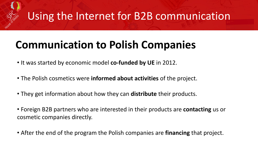# **Communication to Polish Companies**

- It was started by economic model **co-funded by UE** in 2012.
- The Polish cosmetics were **informed about activities** of the project.
- They get information about how they can **distribute** their products.
- Foreign B2B partners who are interested in their products are **contacting** us or cosmetic companies directly.
- After the end of the program the Polish companies are **financing** that project.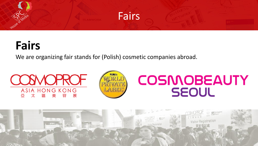

# **Fairs**

We are organizing fair stands for (Polish) cosmetic companies abroad.

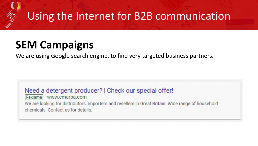### **SEM Campaigns**

We are using Google search engine, to find very targeted business partners.

Need a detergent producer? | Check our special offer! Reklama www.emarba.com We are looking for distributors, importers and resellers in Great Britain. Wide range of household chemicals. Contact us for details.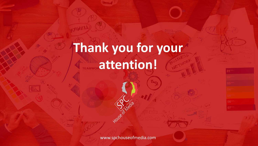# **Thank you for your TEAMWOR attention!**

www.spchouseofmedia.com

House